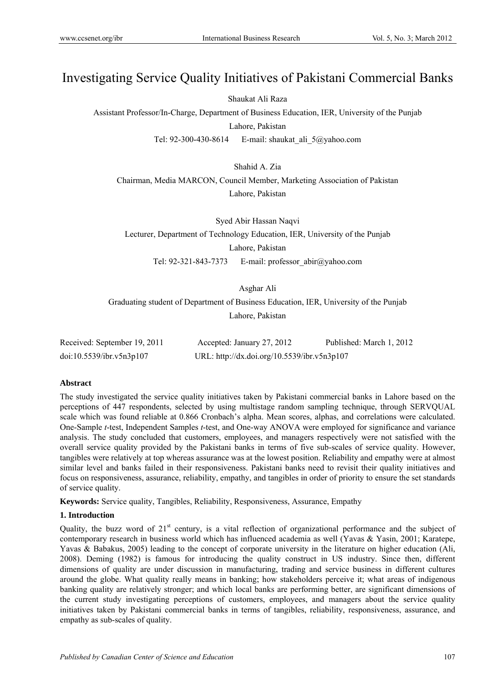# Investigating Service Quality Initiatives of Pakistani Commercial Banks

Shaukat Ali Raza

Assistant Professor/In-Charge, Department of Business Education, IER, University of the Punjab

Lahore, Pakistan

Tel: 92-300-430-8614 E-mail: shaukat\_ali\_5@yahoo.com

Shahid A. Zia

Chairman, Media MARCON, Council Member, Marketing Association of Pakistan Lahore, Pakistan

Syed Abir Hassan Naqvi

Lecturer, Department of Technology Education, IER, University of the Punjab

Lahore, Pakistan

Tel: 92-321-843-7373 E-mail: professor  $abir@$ yahoo.com

Asghar Ali

Graduating student of Department of Business Education, IER, University of the Punjab Lahore, Pakistan

| Received: September 19, 2011 | Accepted: January 27, 2012                  | Published: March 1, 2012 |
|------------------------------|---------------------------------------------|--------------------------|
| doi:10.5539/ibr.v5n3p107     | URL: http://dx.doi.org/10.5539/ibr.v5n3p107 |                          |

#### **Abstract**

The study investigated the service quality initiatives taken by Pakistani commercial banks in Lahore based on the perceptions of 447 respondents, selected by using multistage random sampling technique, through SERVQUAL scale which was found reliable at 0.866 Cronbach's alpha. Mean scores, alphas, and correlations were calculated. One-Sample *t*-test, Independent Samples *t*-test, and One-way ANOVA were employed for significance and variance analysis. The study concluded that customers, employees, and managers respectively were not satisfied with the overall service quality provided by the Pakistani banks in terms of five sub-scales of service quality. However, tangibles were relatively at top whereas assurance was at the lowest position. Reliability and empathy were at almost similar level and banks failed in their responsiveness. Pakistani banks need to revisit their quality initiatives and focus on responsiveness, assurance, reliability, empathy, and tangibles in order of priority to ensure the set standards of service quality.

**Keywords:** Service quality, Tangibles, Reliability, Responsiveness, Assurance, Empathy

#### **1. Introduction**

Quality, the buzz word of 21<sup>st</sup> century, is a vital reflection of organizational performance and the subject of contemporary research in business world which has influenced academia as well (Yavas & Yasin, 2001; Karatepe, Yavas & Babakus, 2005) leading to the concept of corporate university in the literature on higher education (Ali, 2008). Deming (1982) is famous for introducing the quality construct in US industry. Since then, different dimensions of quality are under discussion in manufacturing, trading and service business in different cultures around the globe. What quality really means in banking; how stakeholders perceive it; what areas of indigenous banking quality are relatively stronger; and which local banks are performing better, are significant dimensions of the current study investigating perceptions of customers, employees, and managers about the service quality initiatives taken by Pakistani commercial banks in terms of tangibles, reliability, responsiveness, assurance, and empathy as sub-scales of quality.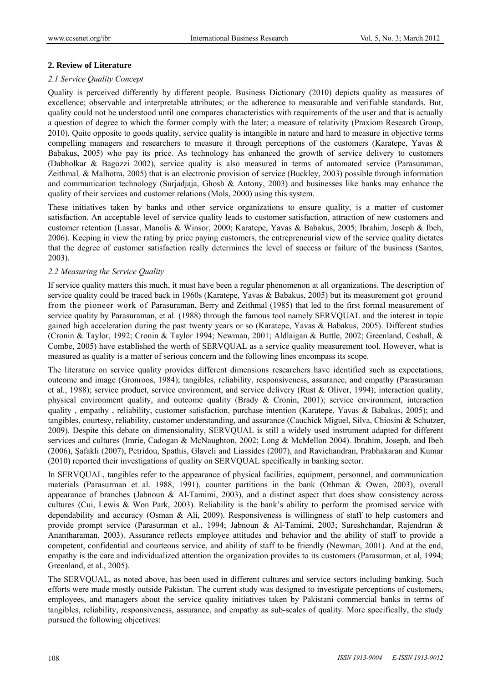### **2. Review of Literature**

### *2.1 Service Quality Concept*

Quality is perceived differently by different people. Business Dictionary (2010) depicts quality as measures of excellence; observable and interpretable attributes; or the adherence to measurable and verifiable standards. But, quality could not be understood until one compares characteristics with requirements of the user and that is actually a question of degree to which the former comply with the later; a measure of relativity (Praxiom Research Group, 2010). Quite opposite to goods quality, service quality is intangible in nature and hard to measure in objective terms compelling managers and researchers to measure it through perceptions of the customers (Karatepe, Yavas & Babakus, 2005) who pay its price. As technology has enhanced the growth of service delivery to customers (Dabholkar & Bagozzi 2002), service quality is also measured in terms of automated service (Parasuraman, Zeithmal*,* & Malhotra, 2005) that is an electronic provision of service (Buckley, 2003) possible through information and communication technology (Surjadjaja, Ghosh & Antony, 2003) and businesses like banks may enhance the quality of their services and customer relations (Mols, 2000) using this system.

These initiatives taken by banks and other service organizations to ensure quality, is a matter of customer satisfaction. An acceptable level of service quality leads to customer satisfaction, attraction of new customers and customer retention (Lassar, Manolis & Winsor, 2000; Karatepe, Yavas & Babakus, 2005; Ibrahim, Joseph & Ibeh, 2006). Keeping in view the rating by price paying customers, the entrepreneurial view of the service quality dictates that the degree of customer satisfaction really determines the level of success or failure of the business (Santos, 2003).

# *2.2 Measuring the Service Quality*

If service quality matters this much, it must have been a regular phenomenon at all organizations. The description of service quality could be traced back in 1960s (Karatepe, Yavas & Babakus, 2005) but its measurement got ground from the pioneer work of Parasuraman, Berry and Zeithmal (1985) that led to the first formal measurement of service quality by Parasuraman, et al. (1988) through the famous tool namely SERVQUAL and the interest in topic gained high acceleration during the past twenty years or so (Karatepe, Yavas & Babakus, 2005). Different studies (Cronin & Taylor, 1992; Cronin & Taylor 1994; Newman, 2001; Aldlaigan & Buttle, 2002; Greenland, Coshall, & Combe, 2005) have established the worth of SERVQUAL as a service quality measurement tool. However, what is measured as quality is a matter of serious concern and the following lines encompass its scope.

The literature on service quality provides different dimensions researchers have identified such as expectations, outcome and image (Gronroos, 1984); tangibles, reliability, responsiveness, assurance, and empathy (Parasuraman et al., 1988); service product, service environment, and service delivery (Rust & Oliver, 1994); interaction quality, physical environment quality, and outcome quality (Brady & Cronin, 2001); service environment, interaction quality , empathy , reliability, customer satisfaction, purchase intention (Karatepe, Yavas & Babakus, 2005); and tangibles, courtesy, reliability, customer understanding, and assurance (Cauchick Miguel, Silva, Chiosini & Schutzer, 2009). Despite this debate on dimensionality, SERVQUAL is still a widely used instrument adapted for different services and cultures (Imrie, Cadogan & McNaughton, 2002; Long & McMellon 2004). Ibrahim, Joseph, and Ibeh (2006), Şafakli (2007), Petridou, Spathis, Glaveli and Liassides (2007), and Ravichandran, Prabhakaran and Kumar (2010) reported their investigations of quality on SERVQUAL specifically in banking sector.

In SERVQUAL, tangibles refer to the appearance of physical facilities, equipment, personnel, and communication materials (Parasurman et al. 1988, 1991), counter partitions in the bank (Othman & Owen, 2003), overall appearance of branches (Jabnoun & Al-Tamimi, 2003), and a distinct aspect that does show consistency across cultures (Cui, Lewis & Won Park, 2003). Reliability is the bank's ability to perform the promised service with dependability and accuracy (Osman & Ali, 2009). Responsiveness is willingness of staff to help customers and provide prompt service (Parasurman et al., 1994; Jabnoun & Al-Tamimi, 2003; Sureshchandar, Rajendran & Anantharaman, 2003). Assurance reflects employee attitudes and behavior and the ability of staff to provide a competent, confidential and courteous service, and ability of staff to be friendly (Newman, 2001). And at the end, empathy is the care and individualized attention the organization provides to its customers (Parasurman, et al, 1994; Greenland, et al., 2005).

The SERVQUAL, as noted above, has been used in different cultures and service sectors including banking. Such efforts were made mostly outside Pakistan. The current study was designed to investigate perceptions of customers, employees, and managers about the service quality initiatives taken by Pakistani commercial banks in terms of tangibles, reliability, responsiveness, assurance, and empathy as sub-scales of quality. More specifically, the study pursued the following objectives: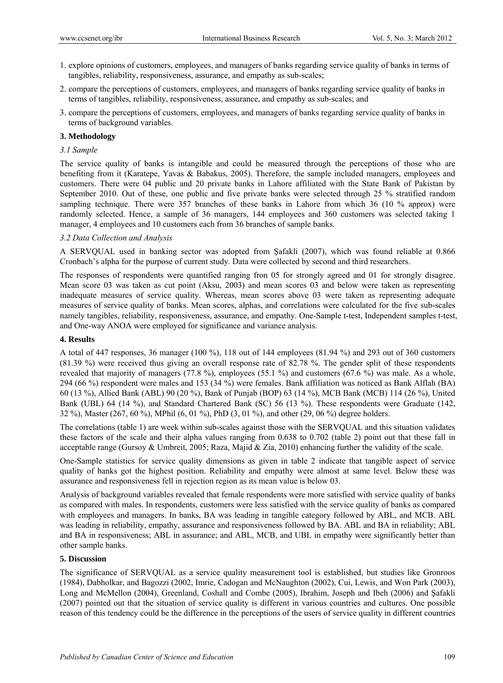- 1. explore opinions of customers, employees, and managers of banks regarding service quality of banks in terms of tangibles, reliability, responsiveness, assurance, and empathy as sub-scales;
- 2. compare the perceptions of customers, employees, and managers of banks regarding service quality of banks in terms of tangibles, reliability, responsiveness, assurance, and empathy as sub-scales; and
- 3. compare the perceptions of customers, employees, and managers of banks regarding service quality of banks in terms of background variables.

### **3. Methodology**

#### *3.1 Sample*

The service quality of banks is intangible and could be measured through the perceptions of those who are benefiting from it (Karatepe, Yavas & Babakus, 2005). Therefore, the sample included managers, employees and customers. There were 04 public and 20 private banks in Lahore affiliated with the State Bank of Pakistan by September 2010. Out of these, one public and five private banks were selected through 25 % stratified random sampling technique. There were 357 branches of these banks in Lahore from which 36 (10 % approx) were randomly selected. Hence, a sample of 36 managers, 144 employees and 360 customers was selected taking 1 manager, 4 employees and 10 customers each from 36 branches of sample banks.

# *3.2 Data Collection and Analysis*

A SERVQUAL used in banking sector was adopted from Şafakli (2007), which was found reliable at 0.866 Cronbach's alpha for the purpose of current study. Data were collected by second and third researchers.

The responses of respondents were quantified ranging fron 05 for strongly agreed and 01 for strongly disagree. Mean score 03 was taken as cut point (Aksu, 2003) and mean scores 03 and below were taken as representing inadequate measures of service quality. Whereas, mean scores above 03 were taken as representing adequate measures of service quality of banks. Mean scores, alphas, and correlations were calculated for the five sub-scales namely tangibles, reliability, responsiveness, assurance, and empathy. One-Sample t-test, Independent samples t-test, and One-way ANOA were employed for significance and variance analysis.

#### **4. Results**

A total of 447 responses, 36 manager (100 %), 118 out of 144 employees (81.94 %) and 293 out of 360 customers (81.39 %) were received thus giving an overall response rate of 82.78 %. The gender split of these respondents revealed that majority of managers (77.8 %), employees (55.1 %) and customers (67.6 %) was male. As a whole, 294 (66 %) respondent were males and 153 (34 %) were females. Bank affiliation was noticed as Bank Alflah (BA) 60 (13 %), Allied Bank (ABL) 90 (20 %), Bank of Punjab (BOP) 63 (14 %), MCB Bank (MCB) 114 (26 %), United Bank (UBL) 64 (14 %), and Standard Chartered Bank (SC) 56 (13 %). These respondents were Graduate (142, 32 %), Master (267, 60 %), MPhil (6, 01 %), PhD (3, 01 %), and other (29, 06 %) degree holders.

The correlations (table 1) are week within sub-scales against those with the SERVQUAL and this situation validates these factors of the scale and their alpha values ranging from 0.638 to 0.702 (table 2) point out that these fall in acceptable range (Gursoy & Umbreit, 2005; Raza, Majid & Zia, 2010) enhancing further the validity of the scale.

One-Sample statistics for service quality dimensions as given in table 2 indicate that tangible aspect of service quality of banks got the highest position. Reliability and empathy were almost at same level. Below these was assurance and responsiveness fell in rejection region as its mean value is below 03.

Analysis of background variables revealed that female respondents were more satisfied with service quality of banks as compared with males. In respondents, customers were less satisfied with the service quality of banks as compared with employees and managers. In banks, BA was leading in tangible category followed by ABL, and MCB. ABL was leading in reliability, empathy, assurance and responsiveness followed by BA. ABL and BA in reliability; ABL and BA in responsiveness; ABL in assurance; and ABL, MCB, and UBL in empathy were significantly better than other sample banks.

#### **5. Discussion**

The significance of SERVQUAL as a service quality measurement tool is established, but studies like Gronroos (1984), Dabholkar, and Bagozzi (2002, Imrie, Cadogan and McNaughton (2002), Cui, Lewis, and Won Park (2003), Long and McMellon (2004), Greenland, Coshall and Combe (2005), Ibrahim, Joseph and Ibeh (2006) and Şafakli (2007) pointed out that the situation of service quality is different in various countries and cultures. One possible reason of this tendency could be the difference in the perceptions of the users of service quality in different countries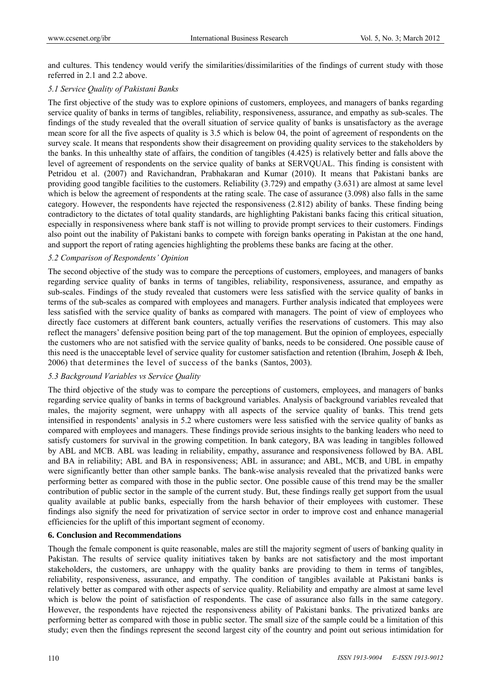and cultures. This tendency would verify the similarities/dissimilarities of the findings of current study with those referred in 2.1 and 2.2 above.

#### *5.1 Service Quality of Pakistani Banks*

The first objective of the study was to explore opinions of customers, employees, and managers of banks regarding service quality of banks in terms of tangibles, reliability, responsiveness, assurance, and empathy as sub-scales. The findings of the study revealed that the overall situation of service quality of banks is unsatisfactory as the average mean score for all the five aspects of quality is 3.5 which is below 04, the point of agreement of respondents on the survey scale. It means that respondents show their disagreement on providing quality services to the stakeholders by the banks. In this unhealthy state of affairs, the condition of tangibles (4.425) is relatively better and falls above the level of agreement of respondents on the service quality of banks at SERVQUAL. This finding is consistent with Petridou et al. (2007) and Ravichandran, Prabhakaran and Kumar (2010). It means that Pakistani banks are providing good tangible facilities to the customers. Reliability (3.729) and empathy (3.631) are almost at same level which is below the agreement of respondents at the rating scale. The case of assurance (3.098) also falls in the same category. However, the respondents have rejected the responsiveness (2.812) ability of banks. These finding being contradictory to the dictates of total quality standards, are highlighting Pakistani banks facing this critical situation, especially in responsiveness where bank staff is not willing to provide prompt services to their customers. Findings also point out the inability of Pakistani banks to compete with foreign banks operating in Pakistan at the one hand, and support the report of rating agencies highlighting the problems these banks are facing at the other.

# *5.2 Comparison of Respondents' Opinion*

The second objective of the study was to compare the perceptions of customers, employees, and managers of banks regarding service quality of banks in terms of tangibles, reliability, responsiveness, assurance, and empathy as sub-scales. Findings of the study revealed that customers were less satisfied with the service quality of banks in terms of the sub-scales as compared with employees and managers. Further analysis indicated that employees were less satisfied with the service quality of banks as compared with managers. The point of view of employees who directly face customers at different bank counters, actually verifies the reservations of customers. This may also reflect the managers' defensive position being part of the top management. But the opinion of employees, especially the customers who are not satisfied with the service quality of banks, needs to be considered. One possible cause of this need is the unacceptable level of service quality for customer satisfaction and retention (Ibrahim, Joseph & Ibeh, 2006) that determines the level of success of the banks (Santos, 2003).

#### *5.3 Background Variables vs Service Quality*

The third objective of the study was to compare the perceptions of customers, employees, and managers of banks regarding service quality of banks in terms of background variables. Analysis of background variables revealed that males, the majority segment, were unhappy with all aspects of the service quality of banks. This trend gets intensified in respondents' analysis in 5.2 where customers were less satisfied with the service quality of banks as compared with employees and managers. These findings provide serious insights to the banking leaders who need to satisfy customers for survival in the growing competition. In bank category, BA was leading in tangibles followed by ABL and MCB. ABL was leading in reliability, empathy, assurance and responsiveness followed by BA. ABL and BA in reliability; ABL and BA in responsiveness; ABL in assurance; and ABL, MCB, and UBL in empathy were significantly better than other sample banks. The bank-wise analysis revealed that the privatized banks were performing better as compared with those in the public sector. One possible cause of this trend may be the smaller contribution of public sector in the sample of the current study. But, these findings really get support from the usual quality available at public banks, especially from the harsh behavior of their employees with customer. These findings also signify the need for privatization of service sector in order to improve cost and enhance managerial efficiencies for the uplift of this important segment of economy.

#### **6. Conclusion and Recommendations**

Though the female component is quite reasonable, males are still the majority segment of users of banking quality in Pakistan. The results of service quality initiatives taken by banks are not satisfactory and the most important stakeholders, the customers, are unhappy with the quality banks are providing to them in terms of tangibles, reliability, responsiveness, assurance, and empathy. The condition of tangibles available at Pakistani banks is relatively better as compared with other aspects of service quality. Reliability and empathy are almost at same level which is below the point of satisfaction of respondents. The case of assurance also falls in the same category. However, the respondents have rejected the responsiveness ability of Pakistani banks. The privatized banks are performing better as compared with those in public sector. The small size of the sample could be a limitation of this study; even then the findings represent the second largest city of the country and point out serious intimidation for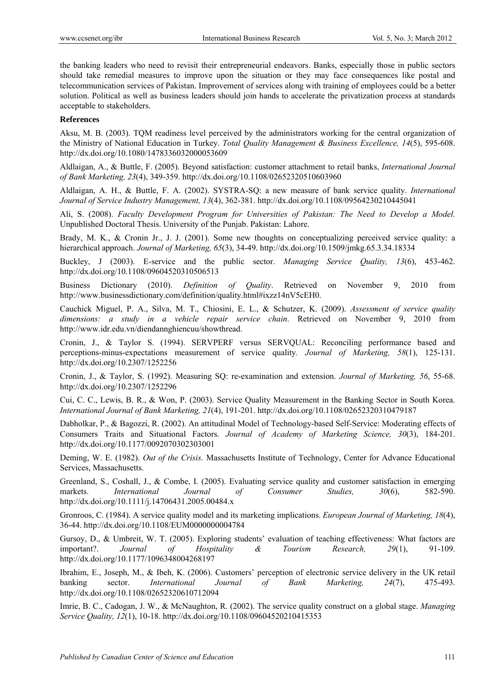the banking leaders who need to revisit their entrepreneurial endeavors. Banks, especially those in public sectors should take remedial measures to improve upon the situation or they may face consequences like postal and telecommunication services of Pakistan. Improvement of services along with training of employees could be a better solution. Political as well as business leaders should join hands to accelerate the privatization process at standards acceptable to stakeholders.

### **References**

Aksu, M. B. (2003). TQM readiness level perceived by the administrators working for the central organization of the Ministry of National Education in Turkey. *Total Quality Management & Business Excellence, 14*(5), 595-608. http://dx.doi.org/10.1080/1478336032000053609

Aldlaigan, A., & Buttle, F. (2005). Beyond satisfaction: customer attachment to retail banks, *International Journal of Bank Marketing, 23*(4), 349-359. http://dx.doi.org/10.1108/02652320510603960

Aldlaigan, A. H., & Buttle, F. A. (2002). SYSTRA-SQ: a new measure of bank service quality. *International Journal of Service Industry Management, 13*(4), 362-381. http://dx.doi.org/10.1108/09564230210445041

Ali, S. (2008). *Faculty Development Program for Universities of Pakistan: The Need to Develop a Model.* Unpublished Doctoral Thesis. University of the Punjab. Pakistan: Lahore.

Brady, M. K., & Cronin Jr., J. J. (2001). Some new thoughts on conceptualizing perceived service quality: a hierarchical approach. *Journal of Marketing, 65*(3), 34-49. http://dx.doi.org/10.1509/jmkg.65.3.34.18334

Buckley, J (2003). E-service and the public sector. *Managing Service Quality, 13*(6), 453-462. http://dx.doi.org/10.1108/09604520310506513

Business Dictionary (2010). *Definition of Quality*. Retrieved on November 9, 2010 from http://www.businessdictionary.com/definition/quality.html#ixzz14nV5cEH0.

Cauchick Miguel, P. A., Silva, M. T., Chiosini, E. L., & Schutzer, K. (2009). *Assessment of service quality dimensions: a study in a vehicle repair service chain*. Retrieved on November 9, 2010 from http://www.idr.edu.vn/diendannghiencuu/showthread.

Cronin, J., & Taylor S. (1994). SERVPERF versus SERVQUAL: Reconciling performance based and perceptions-minus-expectations measurement of service quality*. Journal of Marketing, 58*(1), 125-131. http://dx.doi.org/10.2307/1252256

Cronin, J., & Taylor, S. (1992). Measuring SQ: re-examination and extension. *Journal of Marketing, 56*, 55-68. http://dx.doi.org/10.2307/1252296

Cui, C. C., Lewis, B. R., & Won, P. (2003). Service Quality Measurement in the Banking Sector in South Korea. *International Journal of Bank Marketing, 21*(4), 191-201. http://dx.doi.org/10.1108/02652320310479187

Dabholkar, P., & Bagozzi, R. (2002). An attitudinal Model of Technology-based Self-Service: Moderating effects of Consumers Traits and Situational Factors. *Journal of Academy of Marketing Science, 30*(3), 184-201. http://dx.doi.org/10.1177/0092070302303001

Deming, W. E. (1982). *Out of the Crisis.* Massachusetts Institute of Technology, Center for Advance Educational Services, Massachusetts.

Greenland, S., Coshall, J., & Combe, I. (2005). Evaluating service quality and customer satisfaction in emerging markets. *International Journal of Consumer Studies, 30*(6), 582-590. http://dx.doi.org/10.1111/j.14706431.2005.00484.x

Gronroos, C. (1984). A service quality model and its marketing implications. *European Journal of Marketing, 18*(4), 36-44. http://dx.doi.org/10.1108/EUM0000000004784

Gursoy, D., & Umbreit, W. T. (2005). Exploring students' evaluation of teaching effectiveness: What factors are important?. *Journal of Hospitality & Tourism Research, 29*(1), 91-109. http://dx.doi.org/10.1177/1096348004268197

Ibrahim, E., Joseph, M., & Ibeh, K. (2006). Customers' perception of electronic service delivery in the UK retail banking sector. *International Journal of Bank Marketing, 24*(7), 475-493. http://dx.doi.org/10.1108/02652320610712094

Imrie, B. C., Cadogan, J. W., & McNaughton, R. (2002). The service quality construct on a global stage. *Managing Service Quality, 12*(1), 10-18. http://dx.doi.org/10.1108/09604520210415353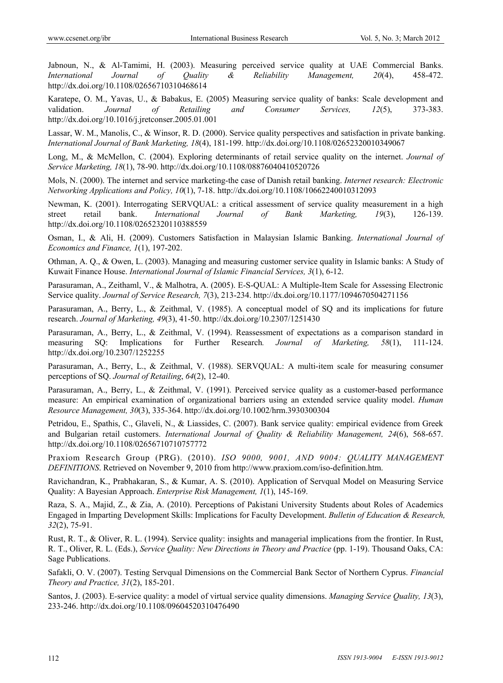Jabnoun, N., & Al-Tamimi, H. (2003). Measuring perceived service quality at UAE Commercial Banks. *International Journal of Quality & Reliability Management, 20*(4), 458-472. http://dx.doi.org/10.1108/02656710310468614

Karatepe, O. M., Yavas, U., & Babakus, E. (2005) Measuring service quality of banks: Scale development and validation. *Journal of Retailing and Consumer Services, 12*(5), 373-383. http://dx.doi.org/10.1016/j.jretconser.2005.01.001

Lassar, W. M., Manolis, C., & Winsor, R. D. (2000). Service quality perspectives and satisfaction in private banking. *International Journal of Bank Marketing, 18*(4), 181-199. http://dx.doi.org/10.1108/02652320010349067

Long, M., & McMellon, C. (2004). Exploring determinants of retail service quality on the internet. *Journal of Service Marketing, 18*(1), 78-90. http://dx.doi.org/10.1108/08876040410520726

Mols, N. (2000). The internet and service marketing-the case of Danish retail banking. *Internet research: Electronic Networking Applications and Policy, 10*(1), 7-18. http://dx.doi.org/10.1108/10662240010312093

Newman, K. (2001). Interrogating SERVQUAL: a critical assessment of service quality measurement in a high street retail bank. *International Journal of Bank Marketing, 19*(3), 126-139. http://dx.doi.org/10.1108/02652320110388559

Osman, I., & Ali, H. (2009). Customers Satisfaction in Malaysian Islamic Banking. *International Journal of Economics and Finance, 1*(1), 197-202.

Othman, A. Q., & Owen, L. (2003). Managing and measuring customer service quality in Islamic banks: A Study of Kuwait Finance House. *International Journal of Islamic Financial Services, 3*(1), 6-12.

Parasuraman, A., Zeithaml, V., & Malhotra, A. (2005). E-S-QUAL: A Multiple-Item Scale for Assessing Electronic Service quality. *Journal of Service Research, 7*(3), 213-234. http://dx.doi.org/10.1177/1094670504271156

Parasuraman, A., Berry, L., & Zeithmal, V. (1985). A conceptual model of SQ and its implications for future research. *Journal of Marketing, 49*(3), 41-50. http://dx.doi.org/10.2307/1251430

Parasuraman, A., Berry, L., & Zeithmal, V. (1994). Reassessment of expectations as a comparison standard in measuring SQ: Implications for Further Research*. Journal of Marketing, 58*(1), 111-124. http://dx.doi.org/10.2307/1252255

Parasuraman, A., Berry, L., & Zeithmal, V. (1988). SERVQUAL: A multi-item scale for measuring consumer perceptions of SQ. *Journal of Retailing*, *64*(2), 12-40.

Parasuraman, A., Berry, L., & Zeithmal, V. (1991). Perceived service quality as a customer-based performance measure: An empirical examination of organizational barriers using an extended service quality model. *Human Resource Management, 30*(3), 335-364. http://dx.doi.org/10.1002/hrm.3930300304

Petridou, E., Spathis, C., Glaveli, N., & Liassides, C. (2007). Bank service quality: empirical evidence from Greek and Bulgarian retail customers. *International Journal of Quality & Reliability Management, 24*(6), 568-657. http://dx.doi.org/10.1108/02656710710757772

Praxiom Research Group (PRG). (2010). *ISO 9000, 9001, AND 9004: QUALITY MANAGEMENT DEFINITIONS*. Retrieved on November 9, 2010 from http://www.praxiom.com/iso-definition.htm.

Ravichandran, K., Prabhakaran, S., & Kumar, A. S. (2010). Application of Servqual Model on Measuring Service Quality: A Bayesian Approach. *Enterprise Risk Management, 1*(1), 145-169.

Raza, S. A., Majid, Z., & Zia, A. (2010). Perceptions of Pakistani University Students about Roles of Academics Engaged in Imparting Development Skills: Implications for Faculty Development. *Bulletin of Education & Research, 32*(2), 75-91.

Rust, R. T., & Oliver, R. L. (1994). Service quality: insights and managerial implications from the frontier. In Rust, R. T., Oliver, R. L. (Eds.), *Service Quality: New Directions in Theory and Practice* (pp. 1-19). Thousand Oaks, CA: Sage Publications.

Safakli, O. V. (2007). Testing Servqual Dimensions on the Commercial Bank Sector of Northern Cyprus. *Financial Theory and Practice, 31*(2), 185-201.

Santos, J. (2003). E-service quality: a model of virtual service quality dimensions. *Managing Service Quality, 13*(3), 233-246. http://dx.doi.org/10.1108/09604520310476490